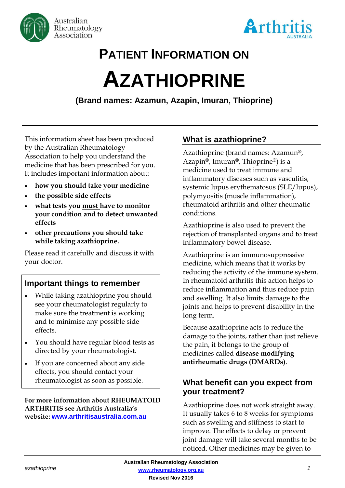



# **PATIENT INFORMATION ON**

# **AZATHIOPRINE**

**(Brand names: Azamun, Azapin, Imuran, Thioprine)**

This information sheet has been produced by the Australian Rheumatology Association to help you understand the medicine that has been prescribed for you. It includes important information about:

- **how you should take your medicine**
- **the possible side effects**
- **what tests you must have to monitor your condition and to detect unwanted effects**
- **other precautions you should take while taking azathioprine.**

Please read it carefully and discuss it with your doctor.

# **Important things to remember**

- While taking azathioprine you should see your rheumatologist regularly to make sure the treatment is working and to minimise any possible side effects.
- You should have regular blood tests as directed by your rheumatologist.
- If you are concerned about any side effects, you should contact your rheumatologist as soon as possible.

**For more information about RHEUMATOID ARTHRITIS see Arthritis Australia's website: [www.arthritisaustralia.com.au](http://www.arthritisaustralia.com.au/)**

# **What is azathioprine?**

Azathioprine (brand names: Azamun®, Azapin®, Imuran®, Thioprine®) is a medicine used to treat immune and inflammatory diseases such as vasculitis, systemic lupus erythematosus (SLE/lupus), polymyositis (muscle inflammation), rheumatoid arthritis and other rheumatic conditions.

Azathioprine is also used to prevent the rejection of transplanted organs and to treat inflammatory bowel disease.

Azathioprine is an immunosuppressive medicine, which means that it works by reducing the activity of the immune system. In rheumatoid arthritis this action helps to reduce inflammation and thus reduce pain and swelling. It also limits damage to the joints and helps to prevent disability in the long term.

Because azathioprine acts to reduce the damage to the joints, rather than just relieve the pain, it belongs to the group of medicines called **disease modifying antirheumatic drugs (DMARDs)**.

# **What benefit can you expect from your treatment?**

Azathioprine does not work straight away. It usually takes 6 to 8 weeks for symptoms such as swelling and stiffness to start to improve. The effects to delay or prevent joint damage will take several months to be noticed. Other medicines may be given to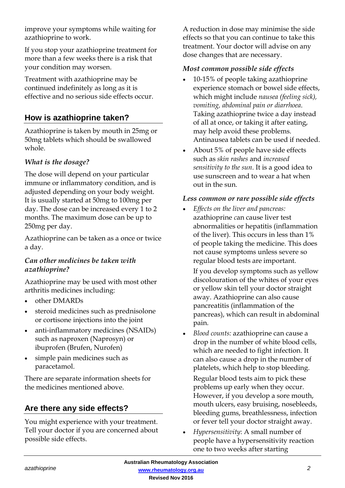improve your symptoms while waiting for azathioprine to work.

If you stop your azathioprine treatment for more than a few weeks there is a risk that your condition may worsen.

Treatment with azathioprine may be continued indefinitely as long as it is effective and no serious side effects occur.

# **How is azathioprine taken?**

Azathioprine is taken by mouth in 25mg or 50mg tablets which should be swallowed whole.

# *What is the dosage?*

The dose will depend on your particular immune or inflammatory condition, and is adjusted depending on your body weight. It is usually started at 50mg to 100mg per day. The dose can be increased every 1 to 2 months. The maximum dose can be up to 250mg per day.

Azathioprine can be taken as a once or twice a day.

#### *Can other medicines be taken with azathioprine?*

Azathioprine may be used with most other arthritis medicines including:

- other DMARDs
- steroid medicines such as prednisolone or cortisone injections into the joint
- anti-inflammatory medicines (NSAIDs) such as naproxen (Naprosyn) or ibuprofen (Brufen, Nurofen)
- simple pain medicines such as paracetamol.

There are separate information sheets for the medicines mentioned above.

# **Are there any side effects?**

You might experience with your treatment. Tell your doctor if you are concerned about possible side effects.

A reduction in dose may minimise the side effects so that you can continue to take this treatment. Your doctor will advise on any dose changes that are necessary.

#### *Most common possible side effects*

- 10-15% of people taking azathioprine experience stomach or bowel side effects, which might include *nausea (feeling sick), vomiting, abdominal pain or diarrhoea*. Taking azathioprine twice a day instead of all at once, or taking it after eating, may help avoid these problems. Antinausea tablets can be used if needed.
- About 5% of people have side effects such as *skin rashes* and *increased sensitivity to the sun*. It is a good idea to use sunscreen and to wear a hat when out in the sun.

#### *Less common or rare possible side effects*

• *Effects on the liver and pancreas:*  azathioprine *c*an cause liver test abnormalities or hepatitis (inflammation of the liver). This occurs in less than 1% of people taking the medicine. This does not cause symptoms unless severe so regular blood tests are important.

If you develop symptoms such as yellow discolouration of the whites of your eyes or yellow skin tell your doctor straight away. Azathioprine can also cause pancreatitis (inflammation of the pancreas), which can result in abdominal pain.

- *Blood counts:* azathioprine can cause a drop in the number of white blood cells, which are needed to fight infection. It can also cause a drop in the number of platelets, which help to stop bleeding. Regular blood tests aim to pick these problems up early when they occur. However, if you develop a sore mouth, mouth ulcers, easy bruising, nosebleeds, bleeding gums, breathlessness, infection or fever tell your doctor straight away.
- *Hypersensitivity*: A small number of people have a hypersensitivity reaction one to two weeks after starting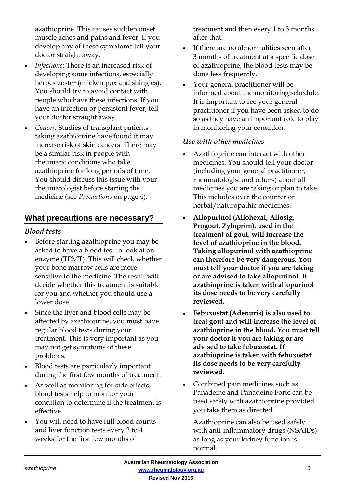azathioprine. This causes sudden onset muscle aches and pains and fever. If you develop any of these symptoms tell your doctor straight away.

- *Infections:* There is an increased risk of developing some infections, especially herpes zoster (chicken pox and shingles). You should try to avoid contact with people who have these infections. If you have an infection or persistent fever, tell your doctor straight away.
- *Cancer:* Studies of transplant patients taking azathioprine have found it may increase risk of skin cancers. There may be a similar risk in people with rheumatic conditions who take azathioprine for long periods of time. You should discuss this issue with your rheumatologist before starting the medicine (see *Precautions* on page 4).

# **What precautions are necessary?**

#### *Blood tests*

- Before starting azathioprine you may be asked to have a blood test to look at an enzyme (TPMT). This will check whether your bone marrow cells are more sensitive to the medicine. The result will decide whether this treatment is suitable for you and whether you should use a lower dose.
- Since the liver and blood cells may be affected by azathioprine, you **must** have regular blood tests during your treatment. This is very important as you may not get symptoms of these problems.
- Blood tests are particularly important during the first few months of treatment.
- As well as monitoring for side effects, blood tests help to monitor your condition to determine if the treatment is effective.
- You will need to have full blood counts and liver function tests every 2 to 4 weeks for the first few months of

treatment and then every 1 to 3 months after that.

- If there are no abnormalities seen after 3 months of treatment at a specific dose of azathioprine, the blood tests may be done less frequently.
- Your general practitioner will be informed about the monitoring schedule. It is important to see your general practitioner if you have been asked to do so as they have an important role to play in monitoring your condition.

#### *Use with other medicines*

- Azathioprine can interact with other medicines. You should tell your doctor (including your general practitioner, rheumatologist and others) about all medicines you are taking or plan to take. This includes over the counter or herbal/naturopathic medicines.
- **Allopurinol (Allohexal, Allosig, Progout, Zyloprim), used in the treatment of gout, will increase the level of azathioprine in the blood. Taking allopurinol with azathioprine can therefore be very dangerous. You must tell your doctor if you are taking or are advised to take allopurinol. If azathioprine is taken with allopurinol its dose needs to be very carefully reviewed.**
- **Febuxostat (Adenuris) is also used to treat gout and will increase the level of azathioprine in the blood. You must tell your doctor if you are taking or are advised to take febuxostat. If azathioprine is taken with febuxostat its dose needs to be very carefully reviewed.**
- Combined pain medicines such as Panadeine and Panadeine Forte can be used safely with azathioprine provided you take them as directed.

Azathioprine can also be used safely with anti-inflammatory drugs (NSAIDs) as long as your kidney function is normal.